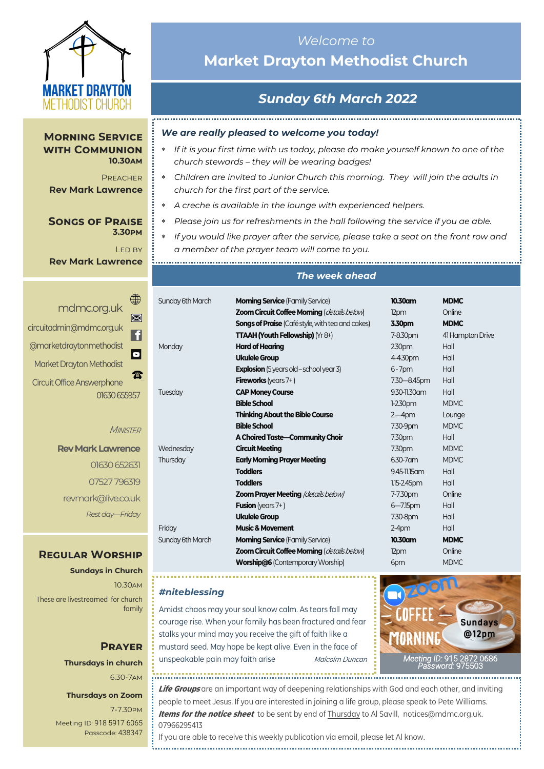

**Morning Service with Communion** 

**Rev Mark Lawrence**

**Songs of Praise** 

**10.30am** Preacher

> **3.30pm** LED BY

# *Welcome to*  **Market Drayton Methodist Church**

# *Sunday 6th March 2022*

#### *We are really pleased to welcome you today!*

- *If it is your first time with us today, please do make yourself known to one of the church stewards – they will be wearing badges!*
- *Children are invited to Junior Church this morning. They will join the adults in church for the first part of the service.*
- *A creche is available in the lounge with experienced helpers.*
- *Please join us for refreshments in the hall following the service if you ae able.*
- *If you would like prayer after the service, please take a seat on the front row and a member of the prayer team will come to you.*

**Rev Mark Lawrence**

| mdmc.org.uk                       |                |
|-----------------------------------|----------------|
|                                   |                |
| circuitadmin@mdmc.org.uk          |                |
| @marketdraytonmethodist           | $\blacksquare$ |
| Market Drayton Methodist          |                |
| <b>Circuit Office Answerphone</b> |                |
| 01630 655957                      |                |

#### **MINISTER**

**Rev Mark Lawrence** 01630 652631 07527 796319 revmark@live.co.uk *Rest day—Friday*

### **Regular Worship**

**Sundays in Church** 10.30am

These are livestreamed for church family

### **Prayer Thursdays in church** 6.30-7am

#### **Thursdays on Zoom**

7-7.30pm [Meeting ID:](https://us04web.zoom.us/j/77138650306?fbclid=IwAR1B778-w3GWZgDnAqUFq-X6hXjzASNTsZuRIt4kZ4Cpyur_3CO2EGlBBwY#success) 918 5917 6065 Passcode: 438347

## 

#### *The week ahead*

| Sunday 6th March | <b>Morning Service</b> (Family Service)                 | 10.30am           | <b>MDMC</b>      |
|------------------|---------------------------------------------------------|-------------------|------------------|
|                  | Zoom Circuit Coffee Morning (details below)             | 12pm              | Online           |
|                  | <b>Songs of Praise</b> (Café style, with tea and cakes) | 3.30pm            | <b>MDMC</b>      |
|                  | <b>TTAAH (Youth Fellowship)</b> (Yr 8+)                 | 7-8.30pm          | 41 Hampton Drive |
| Monday           | <b>Hard of Hearing</b>                                  | 230 <sub>pm</sub> | Hall             |
|                  | <b>Ukulele Group</b>                                    | 4-4.30pm          | Hall             |
|                  | <b>Explosion</b> (5 years old - school year 3)          | $6 - 7$ pm        | Hall             |
|                  | <b>Fireworks</b> (years $7+$ )                          | 7.30 - 8.45pm     | Hall             |
| Tuesday          | <b>CAP Money Course</b>                                 | 9.30-11.30 am     | Hall             |
|                  | <b>Bible School</b>                                     | $1-2.30$ pm       | <b>MDMC</b>      |
|                  | <b>Thinking About the Bible Course</b>                  | $2-4$ pm          | Lounge           |
|                  | <b>Bible School</b>                                     | 7.30-9pm          | <b>MDMC</b>      |
|                  | A Choired Taste-Community Choir                         | 7.30pm            | Hall             |
| Wednesday        | <b>Circuit Meeting</b>                                  | 7.30pm            | <b>MDMC</b>      |
| Thursday         | <b>Early Morning Prayer Meeting</b>                     | $6.30 - 7$ am     | <b>MDMC</b>      |
|                  | <b>Toddlers</b>                                         | 9.45-11.15 am     | Hall             |
|                  | <b>Toddlers</b>                                         | 1.15-2.45pm       | Hall             |
|                  | <b>Zoom Prayer Meeting (details below)</b>              | 7-7.30pm          | Online           |
|                  | <b>Fusion</b> (years $7+$ )                             | $6 - 7.15$ pm     | Hall             |
|                  | <b>Ukulele Group</b>                                    | 7.30-8pm          | Hall             |
| Friday           | <b>Music &amp; Movement</b>                             | $2-4$ pm          | Hall             |
| Sunday 6th March | <b>Morning Service</b> (Family Service)                 | 10.30am           | <b>MDMC</b>      |
|                  | Zoom Circuit Coffee Morning (details below)             | 12pm              | Online           |
|                  | <b>Worship@6 (Contemporary Worship)</b>                 | 6pm               | <b>MDMC</b>      |

#### *#niteblessing*

Amidst chaos may your soul know calm. As tears fall may courage rise. When your family has been fractured and fear stalks your mind may you receive the gift of faith like a mustard seed. May hope be kept alive. Even in the face of unspeakable pain may faith arise *Malcolm Duncan* 



**Life Groups** are an important way of deepening relationships with God and each other, and inviting people to meet Jesus. If you are interested in joining a life group, please speak to Pete Williams. **Items for the notice sheet** to be sent by end of Thursday to Al Savill, notices@mdmc.org.uk. 07966295413

If you are able to receive this weekly publication via email, please let Al know.